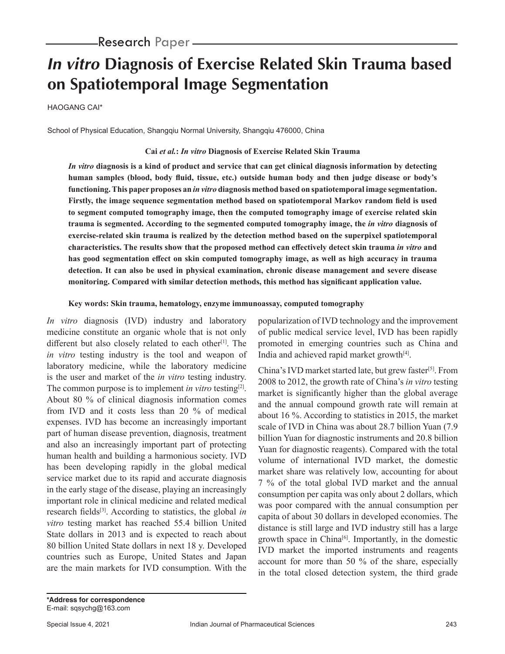# **In vitro Diagnosis of Exercise Related Skin Trauma based on Spatiotemporal Image Segmentation**

HAOGANG CAI\*

School of Physical Education, Shangqiu Normal University, Shangqiu 476000, China

### **Cai** *et al.***:** *In vitro* **Diagnosis of Exercise Related Skin Trauma**

*In vitro* **diagnosis is a kind of product and service that can get clinical diagnosis information by detecting human samples (blood, body fluid, tissue, etc.) outside human body and then judge disease or body's functioning. This paper proposes an** *in vitro* **diagnosis method based on spatiotemporal image segmentation. Firstly, the image sequence segmentation method based on spatiotemporal Markov random field is used to segment computed tomography image, then the computed tomography image of exercise related skin trauma is segmented. According to the segmented computed tomography image, the** *in vitro* **diagnosis of exercise-related skin trauma is realized by the detection method based on the superpixel spatiotemporal characteristics. The results show that the proposed method can effectively detect skin trauma** *in vitro* **and has good segmentation effect on skin computed tomography image, as well as high accuracy in trauma detection. It can also be used in physical examination, chronic disease management and severe disease monitoring. Compared with similar detection methods, this method has significant application value.**

#### **Key words: Skin trauma, hematology, enzyme immunoassay, computed tomography**

*In vitro* diagnosis (IVD) industry and laboratory medicine constitute an organic whole that is not only different but also closely related to each other<sup>[1]</sup>. The *in vitro* testing industry is the tool and weapon of laboratory medicine, while the laboratory medicine is the user and market of the *in vitro* testing industry. The common purpose is to implement *in vitro* testing<sup>[2]</sup>. About 80 % of clinical diagnosis information comes from IVD and it costs less than 20 % of medical expenses. IVD has become an increasingly important part of human disease prevention, diagnosis, treatment and also an increasingly important part of protecting human health and building a harmonious society. IVD has been developing rapidly in the global medical service market due to its rapid and accurate diagnosis in the early stage of the disease, playing an increasingly important role in clinical medicine and related medical research fields[3]. According to statistics, the global *in vitro* testing market has reached 55.4 billion United State dollars in 2013 and is expected to reach about 80 billion United State dollars in next 18 y. Developed countries such as Europe, United States and Japan are the main markets for IVD consumption. With the popularization of IVD technology and the improvement of public medical service level, IVD has been rapidly promoted in emerging countries such as China and India and achieved rapid market growth<sup>[4]</sup>.

China's IVD market started late, but grew faster[5]. From 2008 to 2012, the growth rate of China's *in vitro* testing market is significantly higher than the global average and the annual compound growth rate will remain at about 16 %. According to statistics in 2015, the market scale of IVD in China was about 28.7 billion Yuan (7.9 billion Yuan for diagnostic instruments and 20.8 billion Yuan for diagnostic reagents). Compared with the total volume of international IVD market, the domestic market share was relatively low, accounting for about 7 % of the total global IVD market and the annual consumption per capita was only about 2 dollars, which was poor compared with the annual consumption per capita of about 30 dollars in developed economies. The distance is still large and IVD industry still has a large growth space in China[6]. Importantly, in the domestic IVD market the imported instruments and reagents account for more than 50 % of the share, especially in the total closed detection system, the third grade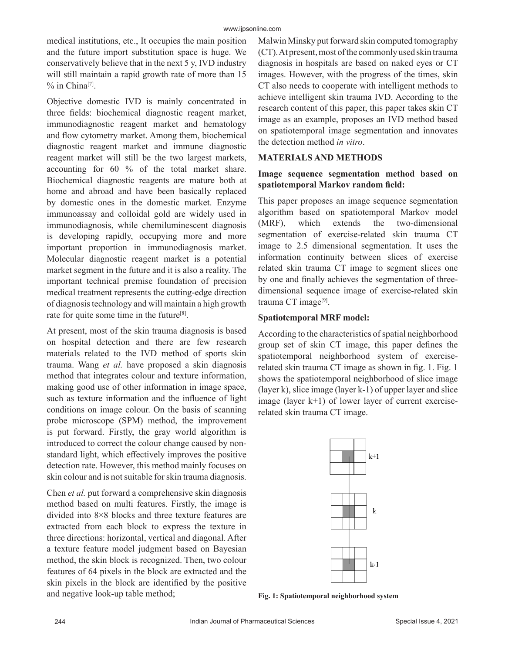medical institutions, etc., It occupies the main position and the future import substitution space is huge. We conservatively believe that in the next 5 y, IVD industry will still maintain a rapid growth rate of more than 15  $%$  in China<sup>[7]</sup>.

Objective domestic IVD is mainly concentrated in three fields: biochemical diagnostic reagent market, immunodiagnostic reagent market and hematology and flow cytometry market. Among them, biochemical diagnostic reagent market and immune diagnostic reagent market will still be the two largest markets, accounting for 60 % of the total market share. Biochemical diagnostic reagents are mature both at home and abroad and have been basically replaced by domestic ones in the domestic market. Enzyme immunoassay and colloidal gold are widely used in immunodiagnosis, while chemiluminescent diagnosis is developing rapidly, occupying more and more important proportion in immunodiagnosis market. Molecular diagnostic reagent market is a potential market segment in the future and it is also a reality. The important technical premise foundation of precision medical treatment represents the cutting-edge direction of diagnosis technology and will maintain a high growth rate for quite some time in the future<sup>[8]</sup>.

At present, most of the skin trauma diagnosis is based on hospital detection and there are few research materials related to the IVD method of sports skin trauma. Wang *et al.* have proposed a skin diagnosis method that integrates colour and texture information, making good use of other information in image space, such as texture information and the influence of light conditions on image colour. On the basis of scanning probe microscope (SPM) method, the improvement is put forward. Firstly, the gray world algorithm is introduced to correct the colour change caused by nonstandard light, which effectively improves the positive detection rate. However, this method mainly focuses on skin colour and is not suitable for skin trauma diagnosis.

Chen *et al.* put forward a comprehensive skin diagnosis method based on multi features. Firstly, the image is divided into 8×8 blocks and three texture features are extracted from each block to express the texture in three directions: horizontal, vertical and diagonal. After a texture feature model judgment based on Bayesian method, the skin block is recognized. Then, two colour features of 64 pixels in the block are extracted and the skin pixels in the block are identified by the positive and negative look-up table method;

Malwin Minsky put forward skin computed tomography (CT). At present, most of the commonly used skin trauma diagnosis in hospitals are based on naked eyes or CT images. However, with the progress of the times, skin CT also needs to cooperate with intelligent methods to achieve intelligent skin trauma IVD. According to the research content of this paper, this paper takes skin CT image as an example, proposes an IVD method based on spatiotemporal image segmentation and innovates the detection method *in vitro*.

## **MATERIALS AND METHODS**

# **Image sequence segmentation method based on spatiotemporal Markov random field:**

This paper proposes an image sequence segmentation algorithm based on spatiotemporal Markov model (MRF), which extends the two-dimensional segmentation of exercise-related skin trauma CT image to 2.5 dimensional segmentation. It uses the information continuity between slices of exercise related skin trauma CT image to segment slices one by one and finally achieves the segmentation of threedimensional sequence image of exercise-related skin trauma CT image<sup>[9]</sup>.

# **Spatiotemporal MRF model:**

According to the characteristics of spatial neighborhood group set of skin CT image, this paper defines the spatiotemporal neighborhood system of exerciserelated skin trauma CT image as shown in fig. 1. Fig. 1 shows the spatiotemporal neighborhood of slice image (layer k), slice image (layer k-1) of upper layer and slice image (layer  $k+1$ ) of lower layer of current exerciserelated skin trauma CT image.



**Fig. 1: Spatiotemporal neighborhood system**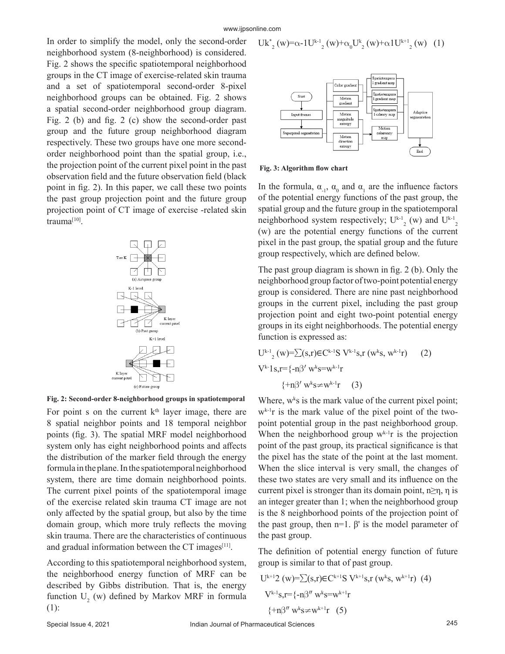$$
Uk_{2}^{*}(w) = \alpha - 1U^{k-1}_{2}(w) + \alpha_{0}U_{2}^{k}(w) + \alpha 1U^{k+1}_{2}(w) \quad (1)
$$

In order to simplify the model, only the second-order neighborhood system (8-neighborhood) is considered. Fig. 2 shows the specific spatiotemporal neighborhood groups in the CT image of exercise-related skin trauma and a set of spatiotemporal second-order 8-pixel neighborhood groups can be obtained. Fig. 2 shows a spatial second-order neighborhood group diagram. Fig. 2 (b) and fig. 2 (c) show the second-order past group and the future group neighborhood diagram respectively. These two groups have one more secondorder neighborhood point than the spatial group, i.e., the projection point of the current pixel point in the past observation field and the future observation field (black point in fig. 2). In this paper, we call these two points the past group projection point and the future group projection point of CT image of exercise -related skin trauma[10].



**Fig. 2: Second-order 8-neighborhood groups in spatiotemporal**

For point s on the current  $k<sup>th</sup>$  layer image, there are 8 spatial neighbor points and 18 temporal neighbor points (fig. 3). The spatial MRF model neighborhood system only has eight neighborhood points and affects the distribution of the marker field through the energy formula in the plane. In the spatiotemporal neighborhood system, there are time domain neighborhood points. The current pixel points of the spatiotemporal image of the exercise related skin trauma CT image are not only affected by the spatial group, but also by the time domain group, which more truly reflects the moving skin trauma. There are the characteristics of continuous and gradual information between the  $CT$  images<sup>[11]</sup>.

According to this spatiotemporal neighborhood system, the neighborhood energy function of MRF can be described by Gibbs distribution. That is, the energy function  $U_2$  (w) defined by Markov MRF in formula (1):



**Fig. 3: Algorithm flow chart**

In the formula,  $\alpha_{1}$ ,  $\alpha_{0}$  and  $\alpha_{1}$  are the influence factors of the potential energy functions of the past group, the spatial group and the future group in the spatiotemporal neighborhood system respectively;  $U^{k-1}$ <sub>2</sub> (w) and  $U^{k-1}$ <sub>2</sub> (w) are the potential energy functions of the current pixel in the past group, the spatial group and the future group respectively, which are defined below.

The past group diagram is shown in fig. 2 (b). Only the neighborhood group factor of two-point potential energy group is considered. There are nine past neighborhood groups in the current pixel, including the past group projection point and eight two-point potential energy groups in its eight neighborhoods. The potential energy function is expressed as:

$$
U^{k-1}{}_{2}(w) = \sum(s,r) \in C^{k-1}S \ V^{k-1}s, r (w^{k}s, w^{k-1}r)
$$
 (2)  

$$
V^{k-1}s, r = \{-n\beta' w^{k}s = w^{k-1}r
$$
  

$$
\{\pm n\beta' w^{k}s \neq w^{k-1}r
$$
 (3)

Where,  $w^k s$  is the mark value of the current pixel point;  $w^{k-1}$ r is the mark value of the pixel point of the twopoint potential group in the past neighborhood group. When the neighborhood group  $w^{k-1}r$  is the projection point of the past group, its practical significance is that the pixel has the state of the point at the last moment. When the slice interval is very small, the changes of these two states are very small and its influence on the current pixel is stronger than its domain point,  $n \ge \eta$ ,  $\eta$  is an integer greater than 1; when the neighborhood group is the 8 neighborhood points of the projection point of the past group, then  $n=1$ . β' is the model parameter of the past group.

The definition of potential energy function of future group is similar to that of past group.

$$
U^{k+1}2 (w)=\sum (s,r) \in C^{k+1}S V^{k+1}s, r (w^ks, w^{k+1}r) (4)
$$
  

$$
V^{k-1}s, r = \{-n\beta'' w^ks = w^{k+1}r
$$
  

$$
\{\pm n\beta'' w^ks \neq w^{k+1}r (5)
$$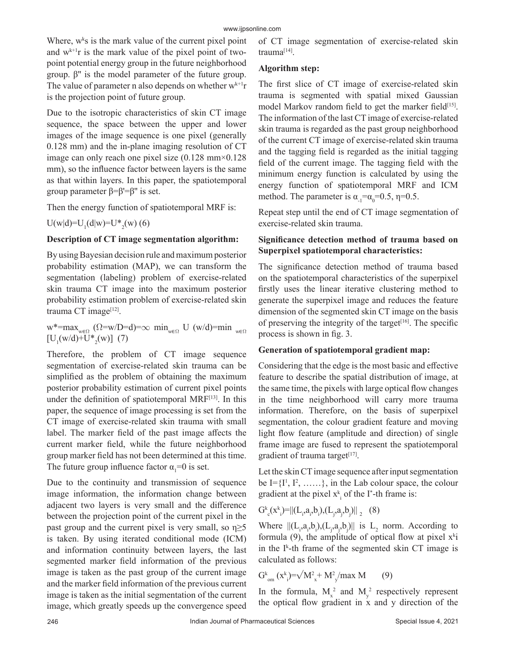Where,  $w^k s$  is the mark value of the current pixel point and  $w^{k+1}r$  is the mark value of the pixel point of twopoint potential energy group in the future neighborhood group. β'' is the model parameter of the future group. The value of parameter n also depends on whether  $w^{k+1}r$ is the projection point of future group.

Due to the isotropic characteristics of skin CT image sequence, the space between the upper and lower images of the image sequence is one pixel (generally 0.128 mm) and the in-plane imaging resolution of CT image can only reach one pixel size (0.128 mm×0.128 mm), so the influence factor between layers is the same as that within layers. In this paper, the spatiotemporal group parameter  $β = β' = β''$  is set.

Then the energy function of spatiotemporal MRF is:

 $U(w|d) = U_1(d|w) = U^*_{2}(w)$  (6)

## **Description of CT image segmentation algorithm:**

By using Bayesian decision rule and maximum posterior probability estimation (MAP), we can transform the segmentation (labeling) problem of exercise-related skin trauma CT image into the maximum posterior probability estimation problem of exercise-related skin trauma CT image<sup>[12]</sup>.

 $w^* = max_{w \in \Omega} (Q=w/D=d) = \infty$  min<sub>w∈Ω</sub> U (w/d)=min <sub>w∈Ω</sub>  $[U_1(w/d)+U^*_{2}(w)]$  (7)

Therefore, the problem of CT image sequence segmentation of exercise-related skin trauma can be simplified as the problem of obtaining the maximum posterior probability estimation of current pixel points under the definition of spatiotemporal MRF[13]. In this paper, the sequence of image processing is set from the CT image of exercise-related skin trauma with small label. The marker field of the past image affects the current marker field, while the future neighborhood group marker field has not been determined at this time. The future group influence factor  $\alpha_1 = 0$  is set.

Due to the continuity and transmission of sequence image information, the information change between adjacent two layers is very small and the difference between the projection point of the current pixel in the past group and the current pixel is very small, so  $\eta \geq 5$ is taken. By using iterated conditional mode (ICM) and information continuity between layers, the last segmented marker field information of the previous image is taken as the past group of the current image and the marker field information of the previous current image is taken as the initial segmentation of the current image, which greatly speeds up the convergence speed of CT image segmentation of exercise-related skin trauma[14].

# **Algorithm step:**

The first slice of CT image of exercise-related skin trauma is segmented with spatial mixed Gaussian model Markov random field to get the marker field<sup>[15]</sup>. The information of the last CT image of exercise-related skin trauma is regarded as the past group neighborhood of the current CT image of exercise-related skin trauma and the tagging field is regarded as the initial tagging field of the current image. The tagging field with the minimum energy function is calculated by using the energy function of spatiotemporal MRF and ICM method. The parameter is  $\alpha_{1} = \alpha_{0} = 0.5$ ,  $\eta = 0.5$ .

Repeat step until the end of CT image segmentation of exercise-related skin trauma.

# **Significance detection method of trauma based on Superpixel spatiotemporal characteristics:**

The significance detection method of trauma based on the spatiotemporal characteristics of the superpixel firstly uses the linear iterative clustering method to generate the superpixel image and reduces the feature dimension of the segmented skin CT image on the basis of preserving the integrity of the target<sup>[16]</sup>. The specific process is shown in fig. 3.

## **Generation of spatiotemporal gradient map:**

Considering that the edge is the most basic and effective feature to describe the spatial distribution of image, at the same time, the pixels with large optical flow changes in the time neighborhood will carry more trauma information. Therefore, on the basis of superpixel segmentation, the colour gradient feature and moving light flow feature (amplitude and direction) of single frame image are fused to represent the spatiotemporal gradient of trauma target $[17]$ .

Let the skin CT image sequence after input segmentation be  $I = \{I^1, I^2, \ldots \}$ , in the Lab colour space, the colour gradient at the pixel  $x_{i}^{k}$  of the I\*-th frame is:

$$
G^k_{\ \, c}(x^k_{\ \, i})\!\!=\!\!\|(L_{_i}\!,\!a_{_i}\!,\!b_{_i})\!,\!(L_{_j}\!,\!a_{_j}\!,\!b_{_j})\! \|_{\,\,2} \quad (8)
$$

Where  $||(L_i, a_i, b_i), (L_j, a_j, b_j)||$  is  $L_2$  norm. According to formula (9), the amplitude of optical flow at pixel  $x^{k}$ i in the  $I^k$ -th frame of the segmented skin CT image is calculated as follows:

$$
G_{\rm om}^k(x_{i}^k) = \sqrt{M_{x}^2 + M_{y}^2 / max M}
$$
 (9)

In the formula,  $M_x^2$  and  $M_y^2$  respectively represent the optical flow gradient in x and y direction of the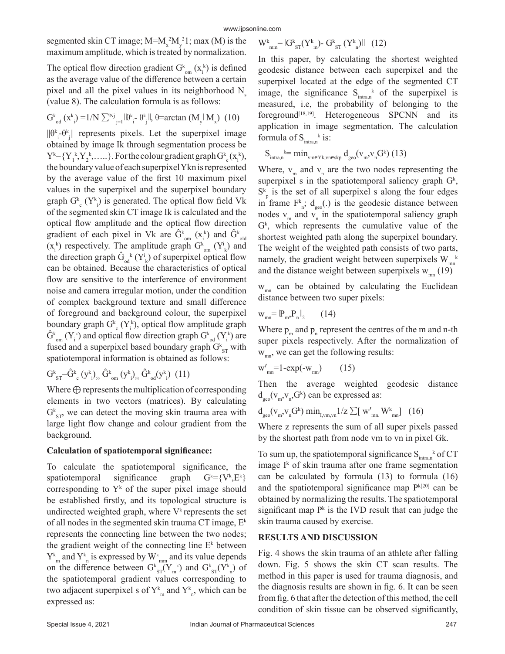segmented skin CT image;  $M=M_x^2M_y^21$ ; max (M) is the maximum amplitude, which is treated by normalization.

The optical flow direction gradient  $G_{\text{om}}^k$  ( $x_i^k$ ) is defined as the average value of the difference between a certain pixel and all the pixel values in its neighborhood  $N_s$ (value 8). The calculation formula is as follows:

$$
G_{\text{od}}^{k}(x_{i}^{k}) = 1/N \sum_{j=1}^{Nj} ||\theta_{i}^{k} - \theta_{j}^{k}||, \theta = \arctan(M_{y}||M_{x}) \tag{10}
$$

 $||\theta^k - \theta^k||$  represents pixels. Let the superpixel image obtained by image Ik through segmentation process be  $Y^k = \{Y_i^k, Y_i^k, \dots\}$ . For the colour gradient graph  $G^k_{c}(x_i^k)$ , the boundary value of each superpixel Ykn is represented by the average value of the first 10 maximum pixel values in the superpixel and the superpixel boundary graph  $G^k$ <sub>c</sub> ( $Y^k$ <sub>i</sub>) is generated. The optical flow field Vk of the segmented skin CT image Ik is calculated and the optical flow amplitude and the optical flow direction gradient of each pixel in Vk are  $\hat{G}^k_{\text{om}}(x_i^k)$  and  $\hat{G}^k_{\text{old}}$  $(x_i^k)$  respectively. The amplitude graph  $G_{\text{om}}^k$   $(Y_i^i)$  and the direction graph  $\hat{G}_{\text{od}}^{k}(Y_{k}^{i})$  of superpixel optical flow can be obtained. Because the characteristics of optical flow are sensitive to the interference of environment noise and camera irregular motion, under the condition of complex background texture and small difference of foreground and background colour, the superpixel boundary graph  $G^k$ <sub>c</sub> (Y<sub>i</sub><sup>k</sup>), optical flow amplitude graph  $\widehat{G}^k_{\text{om}}(Y_i^k)$  and optical flow direction graph  $G^k_{\text{od}}(Y_i^k)$  are fused and a superpixel based boundary graph  $G_{ST}^k$  with spatiotemporal information is obtained as follows:

 $\mathrm{G^{k}}_{\mathrm{ST}}$ = $\mathrm{\tilde{G}^{k}}_{\mathrm{c}}$  (y<sup>k</sup><sub>i</sub>)<sub>⊗</sub>  $\mathrm{\tilde{G}^{k}}_{\mathrm{om}}$  (y<sup>k</sup><sub>i</sub>)<sub>⊗</sub>  $\mathrm{\tilde{G}^{k}}_{\mathrm{od}}$ (y<sup>k</sup><sub>i</sub>) (11)

Where  $\oplus$  represents the multiplication of corresponding elements in two vectors (matrices). By calculating  $G_{ST}^k$ , we can detect the moving skin trauma area with large light flow change and colour gradient from the background.

#### **Calculation of spatiotemporal significance:**

To calculate the spatiotemporal significance, the spatiotemporal significance graph  $=\{V^k,E^k\}$ corresponding to  $Y^k$  of the super pixel image should be established firstly, and its topological structure is undirected weighted graph, where  $V^k$  represents the set of all nodes in the segmented skin trauma CT image,  $E^k$ represents the connecting line between the two nodes; the gradient weight of the connecting line  $E^k$  between  $Y_{m}^{k}$  and  $Y_{n}^{k}$  is expressed by  $W_{m}^{k}$  and its value depends on the difference between  $G_{ST}^k(Y_m^k)$  and  $G_{ST}^k(Y_m^k)$  of the spatiotemporal gradient values corresponding to two adjacent superpixel s of  $Y^k_{m}$  and  $Y^k_{n}$ , which can be expressed as:

$$
W^k_{\phantom{k}mm} {=} \lVert G^k_{\phantom{k}ST} (Y^k_{\phantom{k}m}) {\textbf{--}}\, G^k_{\phantom{k}ST} \, (Y^k_{\phantom{k}n}) \rVert \ \ \, (12)
$$

In this paper, by calculating the shortest weighted geodesic distance between each superpixel and the superpixel located at the edge of the segmented CT image, the significance  $S_{intra,n}^k$  of the superpixel is measured, i.e, the probability of belonging to the foreground<sup>[18,19]</sup>. Heterogeneous SPCNN and its application in image segmentation. The calculation formula of  $S_{intra,n}^{\qquad k}$  is:

$$
S_{\text{intra},n}^{k} = \text{min}_{v_{\text{meYk},v_{\text{n}} \in \text{skp}}} d_{\text{geo}}(v_{\text{m}},v_{\text{n}} G^k) (13)
$$

Where,  $v_m$  and  $v_n$  are the two nodes representing the superpixel s in the spatiotemporal saliency graph  $G<sup>k</sup>$ ,  $S_{\text{p}}^k$  is the set of all superpixel s along the four edges in frame  $F_{n}^{k}$ ;  $d_{geo}(.)$  is the geodesic distance between nodes  $v_m$  and  $v_n$  in the spatiotemporal saliency graph  $G<sup>k</sup>$ , which represents the cumulative value of the shortest weighted path along the superpixel boundary. The weight of the weighted path consists of two parts, namely, the gradient weight between superpixels  $W_{mn}^{\ \ k}$ and the distance weight between superpixels  $w_{mn}$  (19)

 $W_{mn}$  can be obtained by calculating the Euclidean distance between two super pixels:

$$
w_{mn} = ||P_m, P_n||_2 \qquad (14)
$$

Where  $p_m$  and  $p_n$  represent the centres of the m and n-th super pixels respectively. After the normalization of  $W_{mn}$ , we can get the following results:

$$
w'_{mn} = 1 - \exp(-w_{mn}) \qquad (15)
$$

Then the average weighted geodesic distance  $d_{geo}(v_m, v_n, G^k)$  can be expressed as:

$$
d_{\text{geo}}(v_{\text{m}},v_{\text{n}}G^k)\min_{I,\text{vm},\text{vn}}1/z\sum[w'_{\text{mn}}.W^k_{\text{mn}}]\ (16)
$$

Where z represents the sum of all super pixels passed by the shortest path from node vm to vn in pixel Gk.

To sum up, the spatiotemporal significance  $S_{intra,n}^{\mu}$  of CT image  $I^k$  of skin trauma after one frame segmentation can be calculated by formula (13) to formula (16) and the spatiotemporal significance map  $P^{k[20]}$  can be obtained by normalizing the results. The spatiotemporal significant map  $P^k$  is the IVD result that can judge the skin trauma caused by exercise.

#### **RESULTS AND DISCUSSION**

Fig. 4 shows the skin trauma of an athlete after falling down. Fig. 5 shows the skin CT scan results. The method in this paper is used for trauma diagnosis, and the diagnosis results are shown in fig. 6. It can be seen from fig. 6 that after the detection of this method, the cell condition of skin tissue can be observed significantly,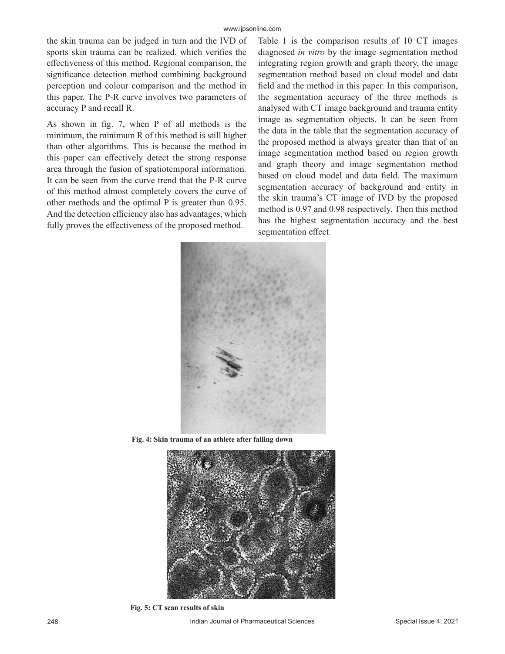the skin trauma can be judged in turn and the IVD of sports skin trauma can be realized, which verifies the effectiveness of this method. Regional comparison, the significance detection method combining background perception and colour comparison and the method in this paper. The P-R curve involves two parameters of accuracy P and recall R.

As shown in fig. 7, when P of all methods is the minimum, the minimum R of this method is still higher than other algorithms. This is because the method in this paper can effectively detect the strong response area through the fusion of spatiotemporal information. It can be seen from the curve trend that the P-R curve of this method almost completely covers the curve of other methods and the optimal P is greater than 0.95. And the detection efficiency also has advantages, which fully proves the effectiveness of the proposed method.

Table 1 is the comparison results of 10 CT images diagnosed *in vitro* by the image segmentation method integrating region growth and graph theory, the image segmentation method based on cloud model and data field and the method in this paper. In this comparison, the segmentation accuracy of the three methods is analysed with CT image background and trauma entity image as segmentation objects. It can be seen from the data in the table that the segmentation accuracy of the proposed method is always greater than that of an image segmentation method based on region growth and graph theory and image segmentation method based on cloud model and data field. The maximum segmentation accuracy of background and entity in the skin trauma's CT image of IVD by the proposed method is 0.97 and 0.98 respectively. Then this method has the highest segmentation accuracy and the best segmentation effect.



**Fig. 4: Skin trauma of an athlete after falling down**



**Fig. 5: CT scan results of skin**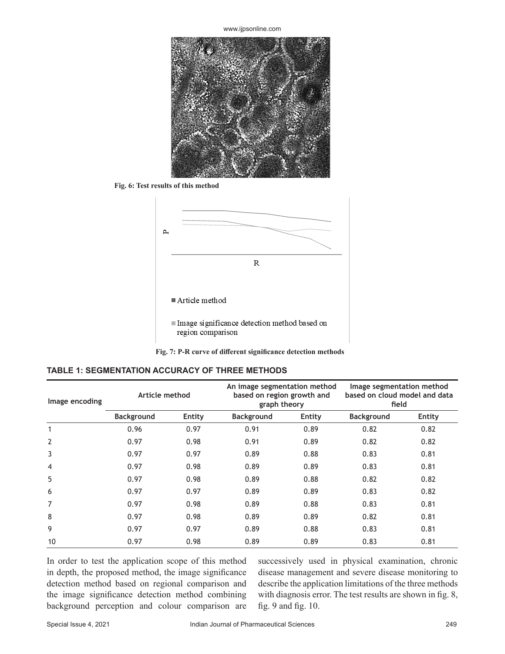www.ijpsonline.com



**Fig. 6: Test results of this method**



#### Article method

Image significance detection method based on region comparison

**Fig. 7: P-R curve of different significance detection methods**

| <b>TABLE 1: SEGMENTATION ACCURACY OF THREE METHODS</b> |  |
|--------------------------------------------------------|--|
|--------------------------------------------------------|--|

| Image encoding | Article method    |        | An image segmentation method<br>based on region growth and<br>graph theory |        | Image segmentation method<br>based on cloud model and data<br>field |        |
|----------------|-------------------|--------|----------------------------------------------------------------------------|--------|---------------------------------------------------------------------|--------|
|                | <b>Background</b> | Entity | <b>Background</b>                                                          | Entity | <b>Background</b>                                                   | Entity |
| 1              | 0.96              | 0.97   | 0.91                                                                       | 0.89   | 0.82                                                                | 0.82   |
| $\overline{2}$ | 0.97              | 0.98   | 0.91                                                                       | 0.89   | 0.82                                                                | 0.82   |
| 3              | 0.97              | 0.97   | 0.89                                                                       | 0.88   | 0.83                                                                | 0.81   |
| 4              | 0.97              | 0.98   | 0.89                                                                       | 0.89   | 0.83                                                                | 0.81   |
| 5              | 0.97              | 0.98   | 0.89                                                                       | 0.88   | 0.82                                                                | 0.82   |
| 6              | 0.97              | 0.97   | 0.89                                                                       | 0.89   | 0.83                                                                | 0.82   |
| 7              | 0.97              | 0.98   | 0.89                                                                       | 0.88   | 0.83                                                                | 0.81   |
| 8              | 0.97              | 0.98   | 0.89                                                                       | 0.89   | 0.82                                                                | 0.81   |
| 9              | 0.97              | 0.97   | 0.89                                                                       | 0.88   | 0.83                                                                | 0.81   |
| 10             | 0.97              | 0.98   | 0.89                                                                       | 0.89   | 0.83                                                                | 0.81   |

In order to test the application scope of this method in depth, the proposed method, the image significance detection method based on regional comparison and the image significance detection method combining background perception and colour comparison are successively used in physical examination, chronic disease management and severe disease monitoring to describe the application limitations of the three methods with diagnosis error. The test results are shown in fig. 8, fig. 9 and fig. 10.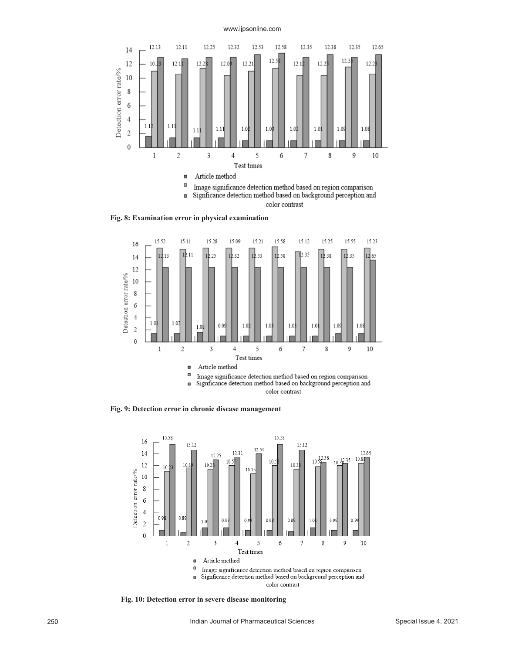



**Fig. 8: Examination error in physical examination**



**Fig. 9: Detection error in chronic disease management**



**Fig. 10: Detection error in severe disease monitoring**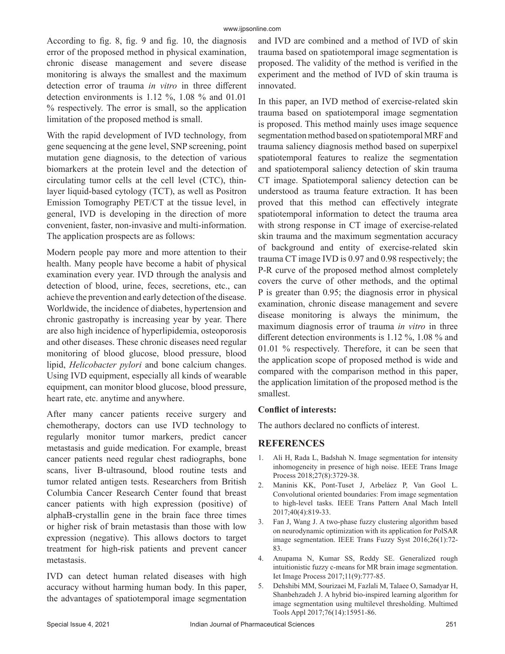According to fig. 8, fig. 9 and fig. 10, the diagnosis error of the proposed method in physical examination, chronic disease management and severe disease monitoring is always the smallest and the maximum detection error of trauma *in vitro* in three different detection environments is 1.12 %, 1.08 % and 01.01 % respectively. The error is small, so the application limitation of the proposed method is small.

With the rapid development of IVD technology, from gene sequencing at the gene level, SNP screening, point mutation gene diagnosis, to the detection of various biomarkers at the protein level and the detection of circulating tumor cells at the cell level (CTC), thinlayer liquid-based cytology (TCT), as well as Positron Emission Tomography PET/CT at the tissue level, in general, IVD is developing in the direction of more convenient, faster, non-invasive and multi-information. The application prospects are as follows:

Modern people pay more and more attention to their health. Many people have become a habit of physical examination every year. IVD through the analysis and detection of blood, urine, feces, secretions, etc., can achieve the prevention and early detection of the disease. Worldwide, the incidence of diabetes, hypertension and chronic gastropathy is increasing year by year. There are also high incidence of hyperlipidemia, osteoporosis and other diseases. These chronic diseases need regular monitoring of blood glucose, blood pressure, blood lipid, *Helicobacter pylori* and bone calcium changes. Using IVD equipment, especially all kinds of wearable equipment, can monitor blood glucose, blood pressure, heart rate, etc. anytime and anywhere.

After many cancer patients receive surgery and chemotherapy, doctors can use IVD technology to regularly monitor tumor markers, predict cancer metastasis and guide medication. For example, breast cancer patients need regular chest radiographs, bone scans, liver B-ultrasound, blood routine tests and tumor related antigen tests. Researchers from British Columbia Cancer Research Center found that breast cancer patients with high expression (positive) of alphaB-crystallin gene in the brain face three times or higher risk of brain metastasis than those with low expression (negative). This allows doctors to target treatment for high-risk patients and prevent cancer metastasis.

IVD can detect human related diseases with high accuracy without harming human body. In this paper, the advantages of spatiotemporal image segmentation and IVD are combined and a method of IVD of skin trauma based on spatiotemporal image segmentation is proposed. The validity of the method is verified in the experiment and the method of IVD of skin trauma is innovated.

In this paper, an IVD method of exercise-related skin trauma based on spatiotemporal image segmentation is proposed. This method mainly uses image sequence segmentation method based on spatiotemporal MRF and trauma saliency diagnosis method based on superpixel spatiotemporal features to realize the segmentation and spatiotemporal saliency detection of skin trauma CT image. Spatiotemporal saliency detection can be understood as trauma feature extraction. It has been proved that this method can effectively integrate spatiotemporal information to detect the trauma area with strong response in CT image of exercise-related skin trauma and the maximum segmentation accuracy of background and entity of exercise-related skin trauma CT image IVD is 0.97 and 0.98 respectively; the P-R curve of the proposed method almost completely covers the curve of other methods, and the optimal P is greater than 0.95; the diagnosis error in physical examination, chronic disease management and severe disease monitoring is always the minimum, the maximum diagnosis error of trauma *in vitro* in three different detection environments is 1.12 %, 1.08 % and 01.01 % respectively. Therefore, it can be seen that the application scope of proposed method is wide and compared with the comparison method in this paper, the application limitation of the proposed method is the smallest.

## **Conflict of interests:**

The authors declared no conflicts of interest.

## **REFERENCES**

- 1. Ali H, Rada L, Badshah N. Image segmentation for intensity inhomogeneity in presence of high noise. IEEE Trans Image Process 2018;27(8):3729-38.
- 2. Maninis KK, Pont-Tuset J, Arbeláez P, Van Gool L. Convolutional oriented boundaries: From image segmentation to high-level tasks. IEEE Trans Pattern Anal Mach Intell 2017;40(4):819-33.
- 3. Fan J, Wang J. A two-phase fuzzy clustering algorithm based on neurodynamic optimization with its application for PolSAR image segmentation. IEEE Trans Fuzzy Syst 2016;26(1):72- 83.
- 4. Anupama N, Kumar SS, Reddy SE. Generalized rough intuitionistic fuzzy c-means for MR brain image segmentation. Iet Image Process 2017;11(9):777-85.
- 5. Dehshibi MM, Sourizaei M, Fazlali M, Talaee O, Samadyar H, Shanbehzadeh J. A hybrid bio-inspired learning algorithm for image segmentation using multilevel thresholding. Multimed Tools Appl 2017;76(14):15951-86.